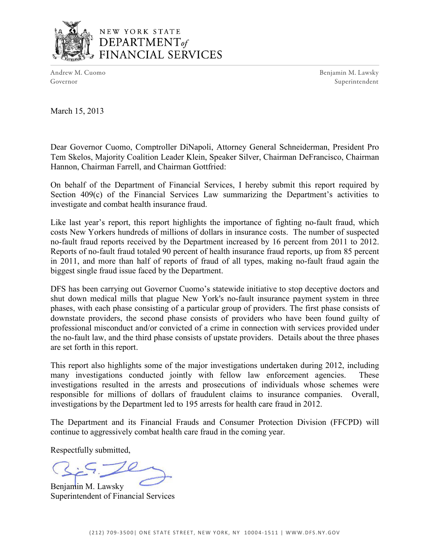

# NEW YORK STATE DEPARTMENT<sub>of</sub> FINANCIAL SERVICES

Andrew M. Cuomo **Benjamin M. Lawsky** Governor Superintendent

March 15, 2013

Dear Governor Cuomo, Comptroller DiNapoli, Attorney General Schneiderman, President Pro Tem Skelos, Majority Coalition Leader Klein, Speaker Silver, Chairman DeFrancisco, Chairman Hannon, Chairman Farrell, and Chairman Gottfried:

On behalf of the Department of Financial Services, I hereby submit this report required by Section 409(c) of the Financial Services Law summarizing the Department's activities to investigate and combat health insurance fraud.

Like last year's report, this report highlights the importance of fighting no-fault fraud, which costs New Yorkers hundreds of millions of dollars in insurance costs. The number of suspected no-fault fraud reports received by the Department increased by 16 percent from 2011 to 2012. Reports of no-fault fraud totaled 90 percent of health insurance fraud reports, up from 85 percent in 2011, and more than half of reports of fraud of all types, making no-fault fraud again the biggest single fraud issue faced by the Department.

 phases, with each phase consisting of a particular group of providers. The first phase consists of downstate providers, the second phase consists of providers who have been found guilty of DFS has been carrying out Governor Cuomo's statewide initiative to stop deceptive doctors and shut down medical mills that plague New York's no-fault insurance payment system in three professional misconduct and/or convicted of a crime in connection with services provided under the no-fault law, and the third phase consists of upstate providers. Details about the three phases are set forth in this report.

This report also highlights some of the major investigations undertaken during 2012, including many investigations conducted jointly with fellow law enforcement agencies. These investigations resulted in the arrests and prosecutions of individuals whose schemes were responsible for millions of dollars of fraudulent claims to insurance companies. Overall, investigations by the Department led to 195 arrests for health care fraud in 2012.

 The Department and its Financial Frauds and Consumer Protection Division (FFCPD) will continue to aggressively combat health care fraud in the coming year.

Respectfully submitted,

Benjamin M. Lawsky Superintendent of Financial Services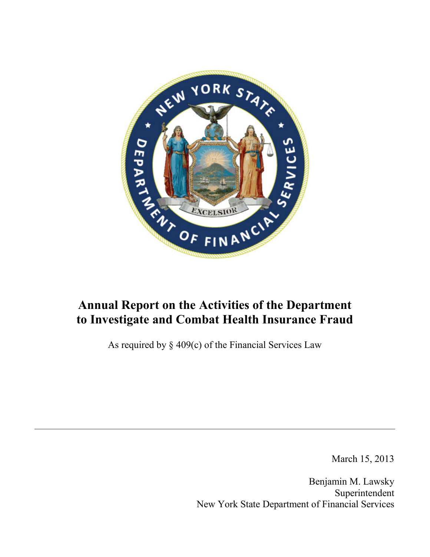

# **Annual Report on the Activities of the Department to Investigate and Combat Health Insurance Fraud**

As required by  $\S$  409(c) of the Financial Services Law

March 15, 2013

Benjamin M. Lawsky Superintendent New York State Department of Financial Services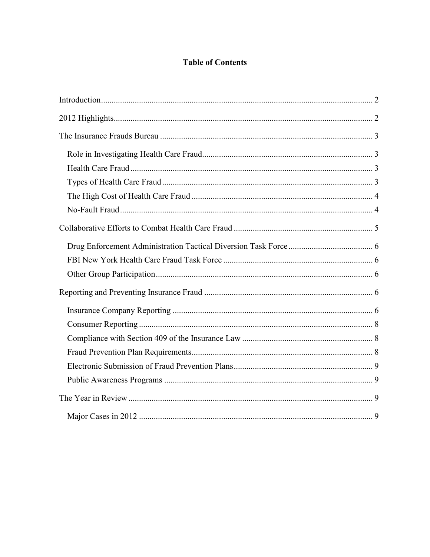# **Table of Contents**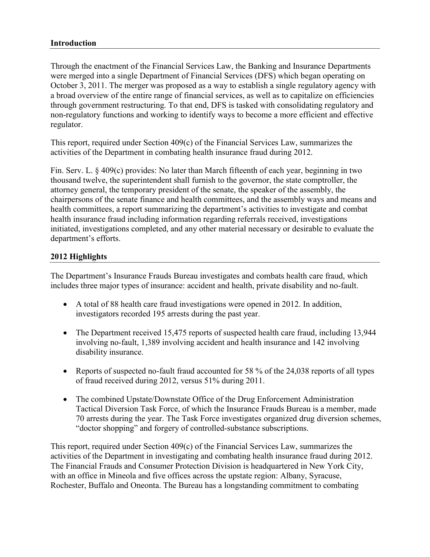#### <span id="page-3-0"></span>**Introduction**

 October 3, 2011. The merger was proposed as a way to establish a single regulatory agency with non-regulatory functions and working to identify ways to become a more efficient and effective regulator. Through the enactment of the Financial Services Law, the Banking and Insurance Departments were merged into a single Department of Financial Services (DFS) which began operating on a broad overview of the entire range of financial services, as well as to capitalize on efficiencies through government restructuring. To that end, DFS is tasked with consolidating regulatory and

This report, required under Section  $409(c)$  of the Financial Services Law, summarizes the activities of the Department in combating health insurance fraud during 2012.

Fin. Serv. L. § 409(c) provides: No later than March fifteenth of each year, beginning in two thousand twelve, the superintendent shall furnish to the governor, the state comptroller, the attorney general, the temporary president of the senate, the speaker of the assembly, the chairpersons of the senate finance and health committees, and the assembly ways and means and health committees, a report summarizing the department's activities to investigate and combat health insurance fraud including information regarding referrals received, investigations initiated, investigations completed, and any other material necessary or desirable to evaluate the department's efforts.

#### <span id="page-3-1"></span>**2012 Highlights**

The Department's Insurance Frauds Bureau investigates and combats health care fraud, which includes three major types of insurance: accident and health, private disability and no-fault.

- A total of 88 health care fraud investigations were opened in 2012. In addition, investigators recorded 195 arrests during the past year.
- The Department received 15,475 reports of suspected health care fraud, including 13,944 involving no-fault, 1,389 involving accident and health insurance and 142 involving disability insurance.
- Reports of suspected no-fault fraud accounted for 58 % of the 24,038 reports of all types of fraud received during 2012, versus 51% during 2011.
- Tactical Diversion Task Force, of which the Insurance Frauds Bureau is a member, made • The combined Upstate/Downstate Office of the Drug Enforcement Administration 70 arrests during the year. The Task Force investigates organized drug diversion schemes, "doctor shopping" and forgery of controlled-substance subscriptions.

This report, required under Section 409(c) of the Financial Services Law, summarizes the activities of the Department in investigating and combating health insurance fraud during 2012. The Financial Frauds and Consumer Protection Division is headquartered in New York City, with an office in Mineola and five offices across the upstate region: Albany, Syracuse, Rochester, Buffalo and Oneonta. The Bureau has a longstanding commitment to combating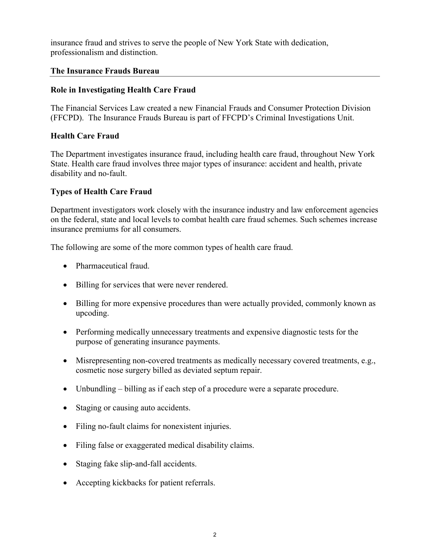insurance fraud and strives to serve the people of New York State with dedication, professionalism and distinction.

#### <span id="page-4-0"></span>**The Insurance Frauds Bureau**

# <span id="page-4-1"></span>The Insurance Frauds Bureau<br>Role in Investigating Health Care Fraud

 (FFCPD). The Insurance Frauds Bureau is part of FFCPD's Criminal Investigations Unit. The Financial Services Law created a new Financial Frauds and Consumer Protection Division

#### <span id="page-4-2"></span>**Health Care Fraud**

The Department investigates insurance fraud, including health care fraud, throughout New York State. Health care fraud involves three major types of insurance: accident and health, private disability and no-fault.

#### <span id="page-4-3"></span>**Types of Health Care Fraud**

 Department investigators work closely with the insurance industry and law enforcement agencies on the federal, state and local levels to combat health care fraud schemes. Such schemes increase insurance premiums for all consumers.

The following are some of the more common types of health care fraud.

- Pharmaceutical fraud.
- Billing for services that were never rendered.
- Billing for more expensive procedures than were actually provided, commonly known as upcoding.
- Performing medically unnecessary treatments and expensive diagnostic tests for the purpose of generating insurance payments.
- Misrepresenting non-covered treatments as medically necessary covered treatments, e.g., cosmetic nose surgery billed as deviated septum repair.
- Unbundling billing as if each step of a procedure were a separate procedure.
- Staging or causing auto accidents.
- Filing no-fault claims for nonexistent injuries.
- Filing false or exaggerated medical disability claims.
- Staging fake slip-and-fall accidents.
- Accepting kickbacks for patient referrals.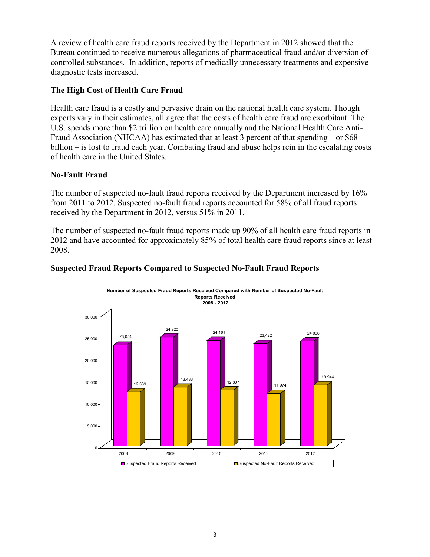A review of health care fraud reports received by the Department in 2012 showed that the Bureau continued to receive numerous allegations of pharmaceutical fraud and/or diversion of controlled substances. In addition, reports of medically unnecessary treatments and expensive diagnostic tests increased.

#### <span id="page-5-0"></span>**The High Cost of Health Care Fraud**

Health care fraud is a costly and pervasive drain on the national health care system. Though experts vary in their estimates, all agree that the costs of health care fraud are exorbitant. The U.S. spends more than \$2 trillion on health care annually and the National Health Care Anti-Fraud Association (NHCAA) has estimated that at least 3 percent of that spending – or \$68 billion – is lost to fraud each year. Combating fraud and abuse helps rein in the escalating costs of health care in the United States.

#### <span id="page-5-1"></span> **No-Fault Fraud**

The number of suspected no-fault fraud reports received by the Department increased by 16% from 2011 to 2012. Suspected no-fault fraud reports accounted for 58% of all fraud reports received by the Department in 2012, versus 51% in 2011.

 The number of suspected no-fault fraud reports made up 90% of all health care fraud reports in 2012 and have accounted for approximately 85% of total health care fraud reports since at least 2008.



#### **Suspected Fraud Reports Compared to Suspected No-Fault Fraud Reports**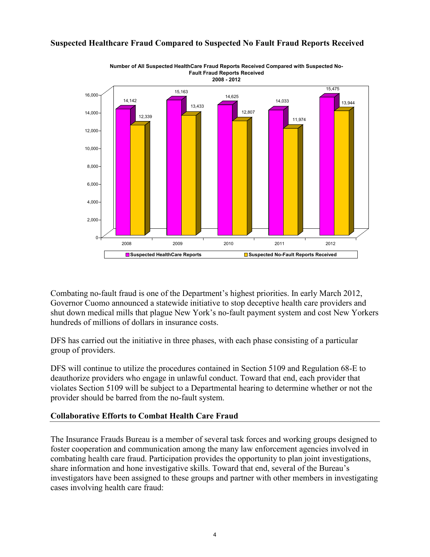

# **Suspected Healthcare Fraud Compared to Suspected No Fault Fraud Reports Received**

 shut down medical mills that plague New York's no-fault payment system and cost New Yorkers Combating no-fault fraud is one of the Department's highest priorities. In early March 2012, Governor Cuomo announced a statewide initiative to stop deceptive health care providers and hundreds of millions of dollars in insurance costs.

DFS has carried out the initiative in three phases, with each phase consisting of a particular group of providers.

DFS will continue to utilize the procedures contained in Section 5109 and Regulation 68-E to deauthorize providers who engage in unlawful conduct. Toward that end, each provider that violates Section 5109 will be subject to a Departmental hearing to determine whether or not the provider should be barred from the no-fault system.

#### <span id="page-6-0"></span> **Collaborative Efforts to Combat Health Care Fraud**

 The Insurance Frauds Bureau is a member of several task forces and working groups designed to foster cooperation and communication among the many law enforcement agencies involved in combating health care fraud. Participation provides the opportunity to plan joint investigations, share information and hone investigative skills. Toward that end, several of the Bureau's investigators have been assigned to these groups and partner with other members in investigating cases involving health care fraud: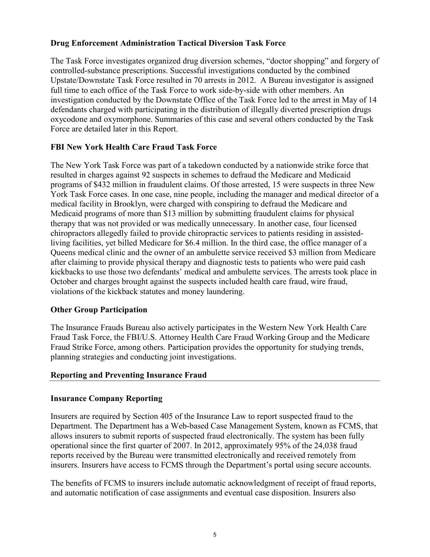#### <span id="page-7-0"></span>**Drug Enforcement Administration Tactical Diversion Task Force**

The Task Force investigates organized drug diversion schemes, "doctor shopping" and forgery of controlled-substance prescriptions. Successful investigations conducted by the combined Upstate/Downstate Task Force resulted in 70 arrests in 2012. A Bureau investigator is assigned full time to each office of the Task Force to work side-by-side with other members. An investigation conducted by the Downstate Office of the Task Force led to the arrest in May of 14 defendants charged with participating in the distribution of illegally diverted prescription drugs oxycodone and oxymorphone. Summaries of this case and several others conducted by the Task Force are detailed later in this Report.

## <span id="page-7-1"></span>**FBI New York Health Care Fraud Task Force**

The New York Task Force was part of a takedown conducted by a nationwide strike force that resulted in charges against 92 suspects in schemes to defraud the Medicare and Medicaid programs of \$432 million in fraudulent claims. Of those arrested, 15 were suspects in three New York Task Force cases. In one case, nine people, including the manager and medical director of a medical facility in Brooklyn, were charged with conspiring to defraud the Medicare and Medicaid programs of more than \$13 million by submitting fraudulent claims for physical therapy that was not provided or was medically unnecessary. In another case, four licensed chiropractors allegedly failed to provide chiropractic services to patients residing in assistedliving facilities, yet billed Medicare for \$6.4 million. In the third case, the office manager of a Queens medical clinic and the owner of an ambulette service received \$3 million from Medicare after claiming to provide physical therapy and diagnostic tests to patients who were paid cash kickbacks to use those two defendants' medical and ambulette services. The arrests took place in October and charges brought against the suspects included health care fraud, wire fraud, violations of the kickback statutes and money laundering.

#### <span id="page-7-2"></span>**Other Group Participation**

The Insurance Frauds Bureau also actively participates in the Western New York Health Care Fraud Task Force, the FBI/U.S. Attorney Health Care Fraud Working Group and the Medicare Fraud Strike Force, among others. Participation provides the opportunity for studying trends, planning strategies and conducting joint investigations.

#### <span id="page-7-3"></span>**Reporting and Preventing Insurance Fraud**

#### <span id="page-7-4"></span>**Insurance Company Reporting**

 Insurers are required by Section 405 of the Insurance Law to report suspected fraud to the reports received by the Bureau were transmitted electronically and received remotely from Department. The Department has a Web-based Case Management System, known as FCMS, that allows insurers to submit reports of suspected fraud electronically. The system has been fully operational since the first quarter of 2007. In 2012, approximately 95% of the 24,038 fraud insurers. Insurers have access to FCMS through the Department's portal using secure accounts.

The benefits of FCMS to insurers include automatic acknowledgment of receipt of fraud reports, and automatic notification of case assignments and eventual case disposition. Insurers also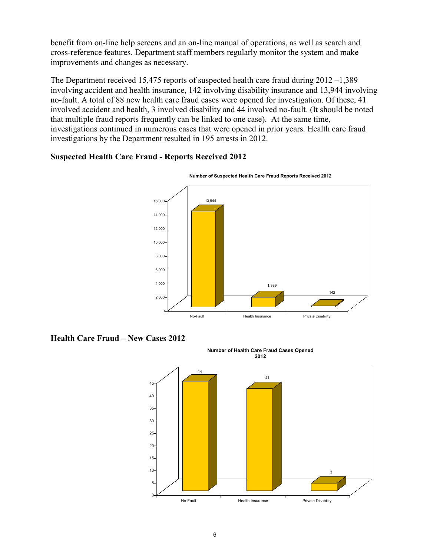benefit from on-line help screens and an on-line manual of operations, as well as search and cross-reference features. Department staff members regularly monitor the system and make improvements and changes as necessary.

The Department received 15,475 reports of suspected health care fraud during 2012 –1,389 involving accident and health insurance, 142 involving disability insurance and 13,944 involving no-fault. A total of 88 new health care fraud cases were opened for investigation. Of these, 41 involved accident and health, 3 involved disability and 44 involved no-fault. (It should be noted that multiple fraud reports frequently can be linked to one case). At the same time, investigations continued in numerous cases that were opened in prior years. Health care fraud investigations by the Department resulted in 195 arrests in 2012.

#### **Suspected Health Care Fraud - Reports Received 2012**



**Health Care Fraud – New Cases 2012** 

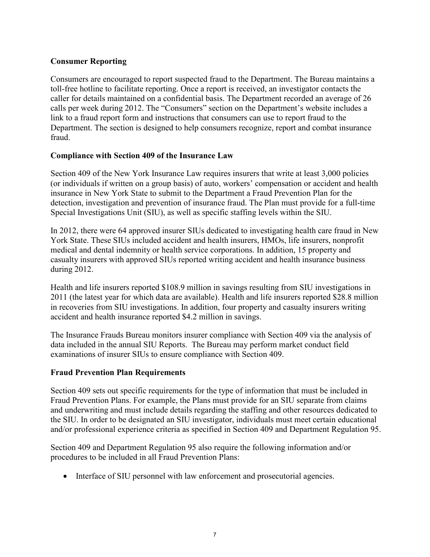#### <span id="page-9-0"></span>**Consumer Reporting**

Consumers are encouraged to report suspected fraud to the Department. The Bureau maintains a toll-free hotline to facilitate reporting. Once a report is received, an investigator contacts the caller for details maintained on a confidential basis. The Department recorded an average of 26 calls per week during 2012. The "Consumers" section on the Department's website includes a link to a fraud report form and instructions that consumers can use to report fraud to the Department. The section is designed to help consumers recognize, report and combat insurance fraud.

#### <span id="page-9-1"></span>**Compliance with Section 409 of the Insurance Law**

Section 409 of the New York Insurance Law requires insurers that write at least 3,000 policies (or individuals if written on a group basis) of auto, workers' compensation or accident and health insurance in New York State to submit to the Department a Fraud Prevention Plan for the detection, investigation and prevention of insurance fraud. The Plan must provide for a full-time Special Investigations Unit (SIU), as well as specific staffing levels within the SIU.

In 2012, there were 64 approved insurer SIUs dedicated to investigating health care fraud in New York State. These SIUs included accident and health insurers, HMOs, life insurers, nonprofit medical and dental indemnity or health service corporations. In addition, 15 property and casualty insurers with approved SIUs reported writing accident and health insurance business during 2012.

 2011 (the latest year for which data are available). Health and life insurers reported \$28.8 million in recoveries from SIU investigations. In addition, four property and casualty insurers writing Health and life insurers reported \$108.9 million in savings resulting from SIU investigations in accident and health insurance reported \$4.2 million in savings.

The Insurance Frauds Bureau monitors insurer compliance with Section 409 via the analysis of data included in the annual SIU Reports. The Bureau may perform market conduct field examinations of insurer SIUs to ensure compliance with Section 409.

#### <span id="page-9-2"></span>**Fraud Prevention Plan Requirements**

 Fraud Prevention Plans. For example, the Plans must provide for an SIU separate from claims Section 409 sets out specific requirements for the type of information that must be included in and underwriting and must include details regarding the staffing and other resources dedicated to the SIU. In order to be designated an SIU investigator, individuals must meet certain educational and/or professional experience criteria as specified in Section 409 and Department Regulation 95.

Section 409 and Department Regulation 95 also require the following information and/or procedures to be included in all Fraud Prevention Plans:

• Interface of SIU personnel with law enforcement and prosecutorial agencies.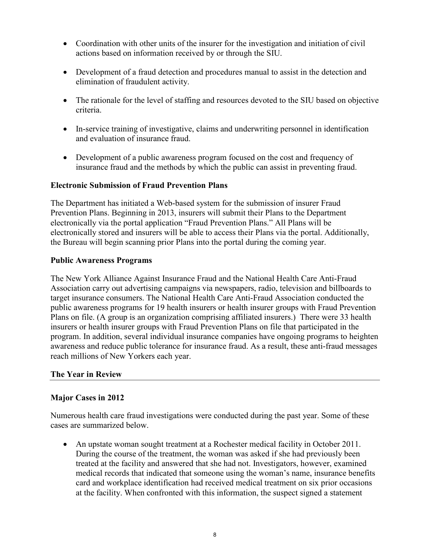- Coordination with other units of the insurer for the investigation and initiation of civil actions based on information received by or through the SIU.
- Development of a fraud detection and procedures manual to assist in the detection and elimination of fraudulent activity.
- The rationale for the level of staffing and resources devoted to the SIU based on objective criteria.
- In-service training of investigative, claims and underwriting personnel in identification and evaluation of insurance fraud.
- Development of a public awareness program focused on the cost and frequency of insurance fraud and the methods by which the public can assist in preventing fraud.

#### <span id="page-10-0"></span>**Electronic Submission of Fraud Prevention Plans**

 Prevention Plans. Beginning in 2013, insurers will submit their Plans to the Department The Department has initiated a Web-based system for the submission of insurer Fraud electronically via the portal application "Fraud Prevention Plans." All Plans will be electronically stored and insurers will be able to access their Plans via the portal. Additionally, the Bureau will begin scanning prior Plans into the portal during the coming year.

#### <span id="page-10-1"></span>**Public Awareness Programs**

 The New York Alliance Against Insurance Fraud and the National Health Care Anti-Fraud public awareness programs for 19 health insurers or health insurer groups with Fraud Prevention Association carry out advertising campaigns via newspapers, radio, television and billboards to target insurance consumers. The National Health Care Anti-Fraud Association conducted the Plans on file. (A group is an organization comprising affiliated insurers.) There were 33 health insurers or health insurer groups with Fraud Prevention Plans on file that participated in the program. In addition, several individual insurance companies have ongoing programs to heighten awareness and reduce public tolerance for insurance fraud. As a result, these anti-fraud messages reach millions of New Yorkers each year.

#### <span id="page-10-2"></span>**The Year in Review**

## <span id="page-10-3"></span>**Major Cases in 2012**

Numerous health care fraud investigations were conducted during the past year. Some of these cases are summarized below.

 at the facility. When confronted with this information, the suspect signed a statement • An upstate woman sought treatment at a Rochester medical facility in October 2011. During the course of the treatment, the woman was asked if she had previously been treated at the facility and answered that she had not. Investigators, however, examined medical records that indicated that someone using the woman's name, insurance benefits card and workplace identification had received medical treatment on six prior occasions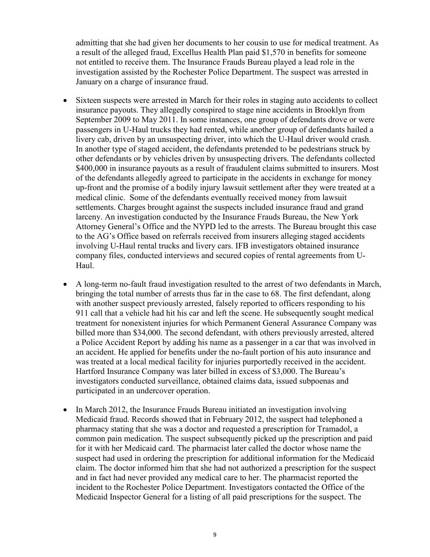not entitled to receive them. The Insurance Frauds Bureau played a lead role in the January on a charge of insurance fraud. admitting that she had given her documents to her cousin to use for medical treatment. As a result of the alleged fraud, Excellus Health Plan paid \$1,570 in benefits for someone investigation assisted by the Rochester Police Department. The suspect was arrested in

- up-front and the promise of a bodily injury lawsuit settlement after they were treated at a Sixteen suspects were arrested in March for their roles in staging auto accidents to collect insurance payouts. They allegedly conspired to stage nine accidents in Brooklyn from September 2009 to May 2011. In some instances, one group of defendants drove or were passengers in U-Haul trucks they had rented, while another group of defendants hailed a livery cab, driven by an unsuspecting driver, into which the U-Haul driver would crash. In another type of staged accident, the defendants pretended to be pedestrians struck by other defendants or by vehicles driven by unsuspecting drivers. The defendants collected \$400,000 in insurance payouts as a result of fraudulent claims submitted to insurers. Most of the defendants allegedly agreed to participate in the accidents in exchange for money medical clinic. Some of the defendants eventually received money from lawsuit settlements. Charges brought against the suspects included insurance fraud and grand larceny. An investigation conducted by the Insurance Frauds Bureau, the New York Attorney General's Office and the NYPD led to the arrests. The Bureau brought this case to the AG's Office based on referrals received from insurers alleging staged accidents involving U-Haul rental trucks and livery cars. IFB investigators obtained insurance company files, conducted interviews and secured copies of rental agreements from U-Haul.
- A long-term no-fault fraud investigation resulted to the arrest of two defendants in March, bringing the total number of arrests thus far in the case to 68. The first defendant, along with another suspect previously arrested, falsely reported to officers responding to his 911 call that a vehicle had hit his car and left the scene. He subsequently sought medical treatment for nonexistent injuries for which Permanent General Assurance Company was billed more than \$34,000. The second defendant, with others previously arrested, altered a Police Accident Report by adding his name as a passenger in a car that was involved in an accident. He applied for benefits under the no-fault portion of his auto insurance and was treated at a local medical facility for injuries purportedly received in the accident. Hartford Insurance Company was later billed in excess of \$3,000. The Bureau's investigators conducted surveillance, obtained claims data, issued subpoenas and participated in an undercover operation.
- • In March 2012, the Insurance Frauds Bureau initiated an investigation involving Medicaid fraud. Records showed that in February 2012, the suspect had telephoned a pharmacy stating that she was a doctor and requested a prescription for Tramadol, a common pain medication. The suspect subsequently picked up the prescription and paid for it with her Medicaid card. The pharmacist later called the doctor whose name the suspect had used in ordering the prescription for additional information for the Medicaid claim. The doctor informed him that she had not authorized a prescription for the suspect and in fact had never provided any medical care to her. The pharmacist reported the incident to the Rochester Police Department. Investigators contacted the Office of the Medicaid Inspector General for a listing of all paid prescriptions for the suspect. The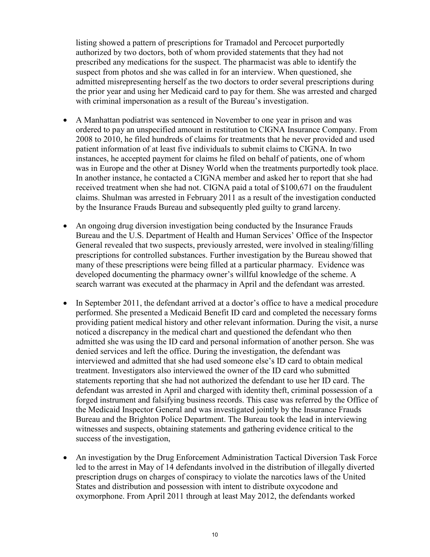listing showed a pattern of prescriptions for Tramadol and Percocet purportedly authorized by two doctors, both of whom provided statements that they had not prescribed any medications for the suspect. The pharmacist was able to identify the suspect from photos and she was called in for an interview. When questioned, she admitted misrepresenting herself as the two doctors to order several prescriptions during the prior year and using her Medicaid card to pay for them. She was arrested and charged with criminal impersonation as a result of the Bureau's investigation.

- patient information of at least five individuals to submit claims to CIGNA. In two by the Insurance Frauds Bureau and subsequently pled guilty to grand larceny. • A Manhattan podiatrist was sentenced in November to one year in prison and was ordered to pay an unspecified amount in restitution to CIGNA Insurance Company. From 2008 to 2010, he filed hundreds of claims for treatments that he never provided and used instances, he accepted payment for claims he filed on behalf of patients, one of whom was in Europe and the other at Disney World when the treatments purportedly took place. In another instance, he contacted a CIGNA member and asked her to report that she had received treatment when she had not. CIGNA paid a total of \$100,671 on the fraudulent claims. Shulman was arrested in February 2011 as a result of the investigation conducted
- many of these prescriptions were being filled at a particular pharmacy. Evidence was search warrant was executed at the pharmacy in April and the defendant was arrested. • An ongoing drug diversion investigation being conducted by the Insurance Frauds Bureau and the U.S. Department of Health and Human Services' Office of the Inspector General revealed that two suspects, previously arrested, were involved in stealing/filling prescriptions for controlled substances. Further investigation by the Bureau showed that developed documenting the pharmacy owner's willful knowledge of the scheme. A
- performed. She presented a Medicaid Benefit ID card and completed the necessary forms treatment. Investigators also interviewed the owner of the ID card who submitted • In September 2011, the defendant arrived at a doctor's office to have a medical procedure providing patient medical history and other relevant information. During the visit, a nurse noticed a discrepancy in the medical chart and questioned the defendant who then admitted she was using the ID card and personal information of another person. She was denied services and left the office. During the investigation, the defendant was interviewed and admitted that she had used someone else's ID card to obtain medical statements reporting that she had not authorized the defendant to use her ID card. The defendant was arrested in April and charged with identity theft, criminal possession of a forged instrument and falsifying business records. This case was referred by the Office of the Medicaid Inspector General and was investigated jointly by the Insurance Frauds Bureau and the Brighton Police Department. The Bureau took the lead in interviewing witnesses and suspects, obtaining statements and gathering evidence critical to the success of the investigation,
- An investigation by the Drug Enforcement Administration Tactical Diversion Task Force led to the arrest in May of 14 defendants involved in the distribution of illegally diverted prescription drugs on charges of conspiracy to violate the narcotics laws of the United States and distribution and possession with intent to distribute oxycodone and oxymorphone. From April 2011 through at least May 2012, the defendants worked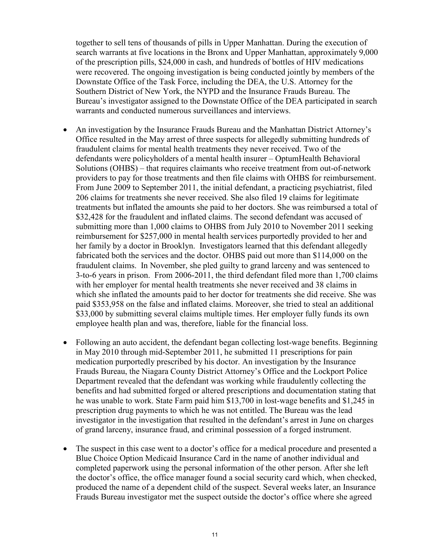together to sell tens of thousands of pills in Upper Manhattan. During the execution of of the prescription pills, \$24,000 in cash, and hundreds of bottles of HIV medications Downstate Office of the Task Force, including the DEA, the U.S. Attorney for the Southern District of New York, the NYPD and the Insurance Frauds Bureau. The search warrants at five locations in the Bronx and Upper Manhattan, approximately 9,000 were recovered. The ongoing investigation is being conducted jointly by members of the Bureau's investigator assigned to the Downstate Office of the DEA participated in search warrants and conducted numerous surveillances and interviews.

- • An investigation by the Insurance Frauds Bureau and the Manhattan District Attorney's Office resulted in the May arrest of three suspects for allegedly submitting hundreds of defendants were policyholders of a mental health insurer – OptumHealth Behavioral 206 claims for treatments she never received. She also filed 19 claims for legitimate fraudulent claims. In November, she pled guilty to grand larceny and was sentenced to with her employer for mental health treatments she never received and 38 claims in fraudulent claims for mental health treatments they never received. Two of the Solutions (OHBS) – that requires claimants who receive treatment from out-of-network providers to pay for those treatments and then file claims with OHBS for reimbursement. From June 2009 to September 2011, the initial defendant, a practicing psychiatrist, filed treatments but inflated the amounts she paid to her doctors. She was reimbursed a total of \$32,428 for the fraudulent and inflated claims. The second defendant was accused of submitting more than 1,000 claims to OHBS from July 2010 to November 2011 seeking reimbursement for \$257,000 in mental health services purportedly provided to her and her family by a doctor in Brooklyn. Investigators learned that this defendant allegedly fabricated both the services and the doctor. OHBS paid out more than \$114,000 on the 3-to-6 years in prison. From 2006-2011, the third defendant filed more than 1,700 claims which she inflated the amounts paid to her doctor for treatments she did receive. She was paid \$353,958 on the false and inflated claims. Moreover, she tried to steal an additional \$33,000 by submitting several claims multiple times. Her employer fully funds its own employee health plan and was, therefore, liable for the financial loss.
- medication purportedly prescribed by his doctor. An investigation by the Insurance • Following an auto accident, the defendant began collecting lost-wage benefits. Beginning in May 2010 through mid-September 2011, he submitted 11 prescriptions for pain Frauds Bureau, the Niagara County District Attorney's Office and the Lockport Police Department revealed that the defendant was working while fraudulently collecting the benefits and had submitted forged or altered prescriptions and documentation stating that he was unable to work. State Farm paid him \$13,700 in lost-wage benefits and \$1,245 in prescription drug payments to which he was not entitled. The Bureau was the lead investigator in the investigation that resulted in the defendant's arrest in June on charges of grand larceny, insurance fraud, and criminal possession of a forged instrument.
- The suspect in this case went to a doctor's office for a medical procedure and presented a Blue Choice Option Medicaid Insurance Card in the name of another individual and completed paperwork using the personal information of the other person. After she left the doctor's office, the office manager found a social security card which, when checked, produced the name of a dependent child of the suspect. Several weeks later, an Insurance Frauds Bureau investigator met the suspect outside the doctor's office where she agreed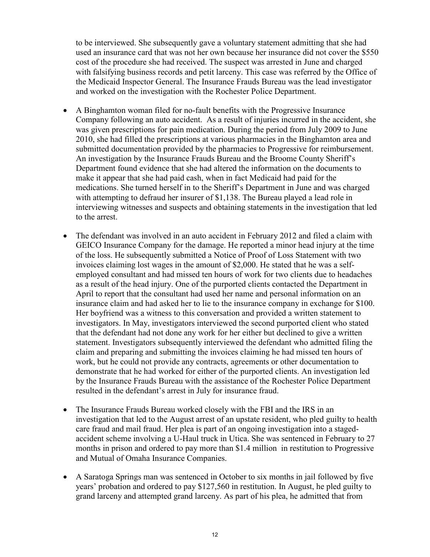to be interviewed. She subsequently gave a voluntary statement admitting that she had used an insurance card that was not her own because her insurance did not cover the \$550 cost of the procedure she had received. The suspect was arrested in June and charged with falsifying business records and petit larceny. This case was referred by the Office of the Medicaid Inspector General. The Insurance Frauds Bureau was the lead investigator and worked on the investigation with the Rochester Police Department.

- Company following an auto accident. As a result of injuries incurred in the accident, she An investigation by the Insurance Frauds Bureau and the Broome County Sheriff's • A Binghamton woman filed for no-fault benefits with the Progressive Insurance was given prescriptions for pain medication. During the period from July 2009 to June 2010, she had filled the prescriptions at various pharmacies in the Binghamton area and submitted documentation provided by the pharmacies to Progressive for reimbursement. Department found evidence that she had altered the information on the documents to make it appear that she had paid cash, when in fact Medicaid had paid for the medications. She turned herself in to the Sheriff's Department in June and was charged with attempting to defraud her insurer of \$1,138. The Bureau played a lead role in interviewing witnesses and suspects and obtaining statements in the investigation that led to the arrest.
- of the loss. He subsequently submitted a Notice of Proof of Loss Statement with two invoices claiming lost wages in the amount of \$2,000. He stated that he was a self- demonstrate that he had worked for either of the purported clients. An investigation led • The defendant was involved in an auto accident in February 2012 and filed a claim with GEICO Insurance Company for the damage. He reported a minor head injury at the time employed consultant and had missed ten hours of work for two clients due to headaches as a result of the head injury. One of the purported clients contacted the Department in April to report that the consultant had used her name and personal information on an insurance claim and had asked her to lie to the insurance company in exchange for \$100. Her boyfriend was a witness to this conversation and provided a written statement to investigators. In May, investigators interviewed the second purported client who stated that the defendant had not done any work for her either but declined to give a written statement. Investigators subsequently interviewed the defendant who admitted filing the claim and preparing and submitting the invoices claiming he had missed ten hours of work, but he could not provide any contracts, agreements or other documentation to by the Insurance Frauds Bureau with the assistance of the Rochester Police Department resulted in the defendant's arrest in July for insurance fraud.
- • The Insurance Frauds Bureau worked closely with the FBI and the IRS in an months in prison and ordered to pay more than \$1.4 million in restitution to Progressive investigation that led to the August arrest of an upstate resident, who pled guilty to health care fraud and mail fraud. Her plea is part of an ongoing investigation into a stagedaccident scheme involving a U-Haul truck in Utica. She was sentenced in February to 27 and Mutual of Omaha Insurance Companies.
- years' probation and ordered to pay \$127,560 in restitution. In August, he pled guilty to grand larceny and attempted grand larceny. As part of his plea, he admitted that from • A Saratoga Springs man was sentenced in October to six months in jail followed by five